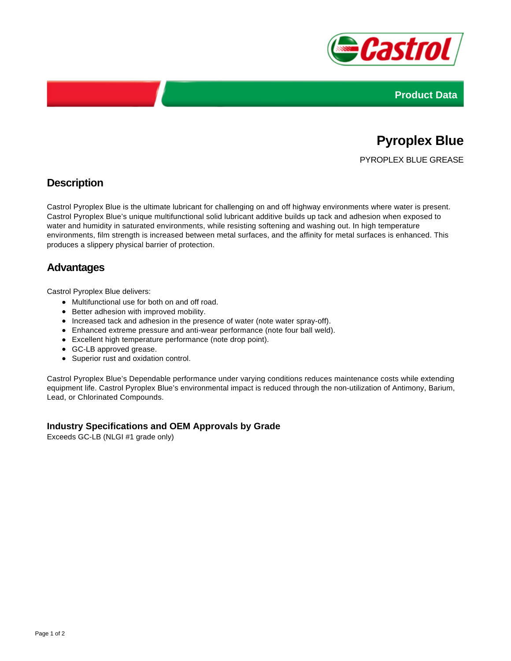



# **Pyroplex Blue**

PYROPLEX BLUE GREASE

## **Description**

Castrol Pyroplex Blue is the ultimate lubricant for challenging on and off highway environments where water is present. Castrol Pyroplex Blue's unique multifunctional solid lubricant additive builds up tack and adhesion when exposed to water and humidity in saturated environments, while resisting softening and washing out. In high temperature environments, film strength is increased between metal surfaces, and the affinity for metal surfaces is enhanced. This produces a slippery physical barrier of protection.

### **Advantages**

Castrol Pyroplex Blue delivers:

- Multifunctional use for both on and off road.
- Better adhesion with improved mobility.
- Increased tack and adhesion in the presence of water (note water spray-off).
- Enhanced extreme pressure and anti-wear performance (note four ball weld).
- Excellent high temperature performance (note drop point).
- GC-LB approved grease.
- Superior rust and oxidation control.

Castrol Pyroplex Blue's Dependable performance under varying conditions reduces maintenance costs while extending equipment life. Castrol Pyroplex Blue's environmental impact is reduced through the non-utilization of Antimony, Barium, Lead, or Chlorinated Compounds.

#### **Industry Specifications and OEM Approvals by Grade**

Exceeds GC-LB (NLGI #1 grade only)